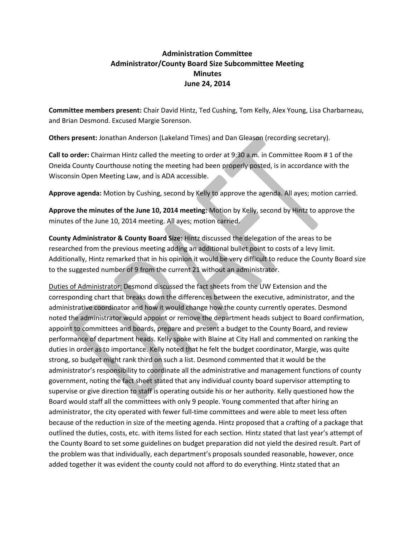## **Administration Committee Administrator/County Board Size Subcommittee Meeting Minutes June 24, 2014**

**Committee members present:** Chair David Hintz, Ted Cushing, Tom Kelly, Alex Young, Lisa Charbarneau, and Brian Desmond. Excused Margie Sorenson.

**Others present:** Jonathan Anderson (Lakeland Times) and Dan Gleason (recording secretary).

**Call to order:** Chairman Hintz called the meeting to order at 9:30 a.m. in Committee Room # 1 of the Oneida County Courthouse noting the meeting had been properly posted, is in accordance with the Wisconsin Open Meeting Law, and is ADA accessible.

**Approve agenda:** Motion by Cushing, second by Kelly to approve the agenda. All ayes; motion carried.

**Approve the minutes of the June 10, 2014 meeting:** Motion by Kelly, second by Hintz to approve the minutes of the June 10, 2014 meeting. All ayes; motion carried.

**County Administrator & County Board Size:** Hintz discussed the delegation of the areas to be researched from the previous meeting adding an additional bullet point to costs of a levy limit. Additionally, Hintz remarked that in his opinion it would be very difficult to reduce the County Board size to the suggested number of 9 from the current 21 without an administrator.

Duties of Administrator: Desmond discussed the fact sheets from the UW Extension and the corresponding chart that breaks down the differences between the executive, administrator, and the administrative coordinator and how it would change how the county currently operates. Desmond noted the administrator would appoint or remove the department heads subject to Board confirmation, appoint to committees and boards, prepare and present a budget to the County Board, and review performance of department heads. Kelly spoke with Blaine at City Hall and commented on ranking the duties in order as to importance. Kelly noted that he felt the budget coordinator, Margie, was quite strong, so budget might rank third on such a list. Desmond commented that it would be the administrator's responsibility to coordinate all the administrative and management functions of county government, noting the fact sheet stated that any individual county board supervisor attempting to supervise or give direction to staff is operating outside his or her authority. Kelly questioned how the Board would staff all the committees with only 9 people. Young commented that after hiring an administrator, the city operated with fewer full-time committees and were able to meet less often because of the reduction in size of the meeting agenda. Hintz proposed that a crafting of a package that outlined the duties, costs, etc. with items listed for each section. Hintz stated that last year's attempt of the County Board to set some guidelines on budget preparation did not yield the desired result. Part of the problem was that individually, each department's proposals sounded reasonable, however, once added together it was evident the county could not afford to do everything. Hintz stated that an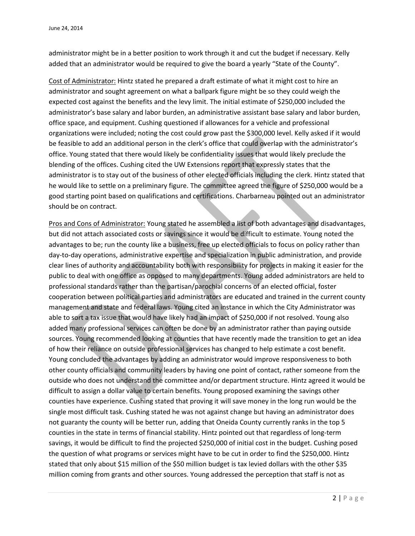administrator might be in a better position to work through it and cut the budget if necessary. Kelly added that an administrator would be required to give the board a yearly "State of the County".

Cost of Administrator: Hintz stated he prepared a draft estimate of what it might cost to hire an administrator and sought agreement on what a ballpark figure might be so they could weigh the expected cost against the benefits and the levy limit. The initial estimate of \$250,000 included the administrator's base salary and labor burden, an administrative assistant base salary and labor burden, office space, and equipment. Cushing questioned if allowances for a vehicle and professional organizations were included; noting the cost could grow past the \$300,000 level. Kelly asked if it would be feasible to add an additional person in the clerk's office that could overlap with the administrator's office. Young stated that there would likely be confidentiality issues that would likely preclude the blending of the offices. Cushing cited the UW Extensions report that expressly states that the administrator is to stay out of the business of other elected officials including the clerk. Hintz stated that he would like to settle on a preliminary figure. The committee agreed the figure of \$250,000 would be a good starting point based on qualifications and certifications. Charbarneau pointed out an administrator should be on contract.

Pros and Cons of Administrator: Young stated he assembled a list of both advantages and disadvantages, but did not attach associated costs or savings since it would be difficult to estimate. Young noted the advantages to be; run the county like a business, free up elected officials to focus on policy rather than day-to-day operations, administrative expertise and specialization in public administration, and provide clear lines of authority and accountability both with responsibility for projects in making it easier for the public to deal with one office as opposed to many departments. Young added administrators are held to professional standards rather than the partisan/parochial concerns of an elected official, foster cooperation between political parties and administrators are educated and trained in the current county management and state and federal laws. Young cited an instance in which the City Administrator was able to sort a tax issue that would have likely had an impact of \$250,000 if not resolved. Young also added many professional services can often be done by an administrator rather than paying outside sources. Young recommended looking at counties that have recently made the transition to get an idea of how their reliance on outside professional services has changed to help estimate a cost benefit. Young concluded the advantages by adding an administrator would improve responsiveness to both other county officials and community leaders by having one point of contact, rather someone from the outside who does not understand the committee and/or department structure. Hintz agreed it would be difficult to assign a dollar value to certain benefits. Young proposed examining the savings other counties have experience. Cushing stated that proving it will save money in the long run would be the single most difficult task. Cushing stated he was not against change but having an administrator does not guaranty the county will be better run, adding that Oneida County currently ranks in the top 5 counties in the state in terms of financial stability. Hintz pointed out that regardless of long-term savings, it would be difficult to find the projected \$250,000 of initial cost in the budget. Cushing posed the question of what programs or services might have to be cut in order to find the \$250,000. Hintz stated that only about \$15 million of the \$50 million budget is tax levied dollars with the other \$35 million coming from grants and other sources. Young addressed the perception that staff is not as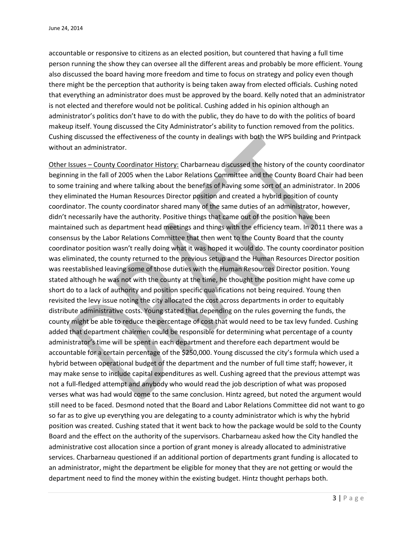accountable or responsive to citizens as an elected position, but countered that having a full time person running the show they can oversee all the different areas and probably be more efficient. Young also discussed the board having more freedom and time to focus on strategy and policy even though there might be the perception that authority is being taken away from elected officials. Cushing noted that everything an administrator does must be approved by the board. Kelly noted that an administrator is not elected and therefore would not be political. Cushing added in his opinion although an administrator's politics don't have to do with the public, they do have to do with the politics of board makeup itself. Young discussed the City Administrator's ability to function removed from the politics. Cushing discussed the effectiveness of the county in dealings with both the WPS building and Printpack without an administrator.

Other Issues – County Coordinator History: Charbarneau discussed the history of the county coordinator beginning in the fall of 2005 when the Labor Relations Committee and the County Board Chair had been to some training and where talking about the benefits of having some sort of an administrator. In 2006 they eliminated the Human Resources Director position and created a hybrid position of county coordinator. The county coordinator shared many of the same duties of an administrator, however, didn't necessarily have the authority. Positive things that came out of the position have been maintained such as department head meetings and things with the efficiency team. In 2011 there was a consensus by the Labor Relations Committee that then went to the County Board that the county coordinator position wasn't really doing what it was hoped it would do. The county coordinator position was eliminated, the county returned to the previous setup and the Human Resources Director position was reestablished leaving some of those duties with the Human Resources Director position. Young stated although he was not with the county at the time, he thought the position might have come up short do to a lack of authority and position specific qualifications not being required. Young then revisited the levy issue noting the city allocated the cost across departments in order to equitably distribute administrative costs. Young stated that depending on the rules governing the funds, the county might be able to reduce the percentage of cost that would need to be tax levy funded. Cushing added that department chairmen could be responsible for determining what percentage of a county administrator's time will be spent in each department and therefore each department would be accountable for a certain percentage of the \$250,000. Young discussed the city's formula which used a hybrid between operational budget of the department and the number of full time staff; however, it may make sense to include capital expenditures as well. Cushing agreed that the previous attempt was not a full-fledged attempt and anybody who would read the job description of what was proposed verses what was had would come to the same conclusion. Hintz agreed, but noted the argument would still need to be faced. Desmond noted that the Board and Labor Relations Committee did not want to go so far as to give up everything you are delegating to a county administrator which is why the hybrid position was created. Cushing stated that it went back to how the package would be sold to the County Board and the effect on the authority of the supervisors. Charbarneau asked how the City handled the administrative cost allocation since a portion of grant money is already allocated to administrative services. Charbarneau questioned if an additional portion of departments grant funding is allocated to an administrator, might the department be eligible for money that they are not getting or would the department need to find the money within the existing budget. Hintz thought perhaps both.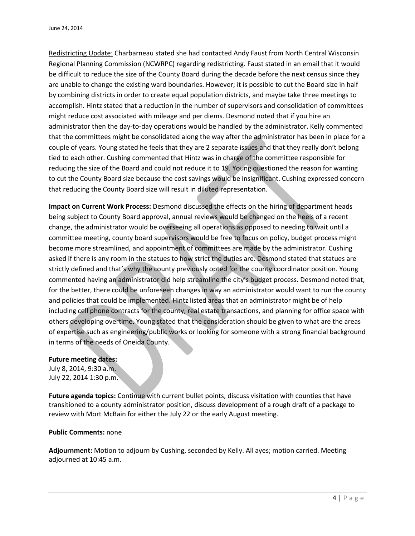Redistricting Update: Charbarneau stated she had contacted Andy Faust from North Central Wisconsin Regional Planning Commission (NCWRPC) regarding redistricting. Faust stated in an email that it would be difficult to reduce the size of the County Board during the decade before the next census since they are unable to change the existing ward boundaries. However; it is possible to cut the Board size in half by combining districts in order to create equal population districts, and maybe take three meetings to accomplish. Hintz stated that a reduction in the number of supervisors and consolidation of committees might reduce cost associated with mileage and per diems. Desmond noted that if you hire an administrator then the day-to-day operations would be handled by the administrator. Kelly commented that the committees might be consolidated along the way after the administrator has been in place for a couple of years. Young stated he feels that they are 2 separate issues and that they really don't belong tied to each other. Cushing commented that Hintz was in charge of the committee responsible for reducing the size of the Board and could not reduce it to 19. Young questioned the reason for wanting to cut the County Board size because the cost savings would be insignificant. Cushing expressed concern that reducing the County Board size will result in diluted representation.

**Impact on Current Work Process:** Desmond discussed the effects on the hiring of department heads being subject to County Board approval, annual reviews would be changed on the heels of a recent change, the administrator would be overseeing all operations as opposed to needing to wait until a committee meeting, county board supervisors would be free to focus on policy, budget process might become more streamlined, and appointment of committees are made by the administrator. Cushing asked if there is any room in the statues to how strict the duties are. Desmond stated that statues are strictly defined and that's why the county previously opted for the county coordinator position. Young commented having an administrator did help streamline the city's budget process. Desmond noted that, for the better, there could be unforeseen changes in way an administrator would want to run the county and policies that could be implemented. Hintz listed areas that an administrator might be of help including cell phone contracts for the county, real estate transactions, and planning for office space with others developing overtime. Young stated that the consideration should be given to what are the areas of expertise such as engineering/public works or looking for someone with a strong financial background in terms of the needs of Oneida County.

## **Future meeting dates:**

July 8, 2014, 9:30 a.m. July 22, 2014 1:30 p.m.

**Future agenda topics:** Continue with current bullet points, discuss visitation with counties that have transitioned to a county administrator position, discuss development of a rough draft of a package to review with Mort McBain for either the July 22 or the early August meeting.

## **Public Comments:** none

**Adjournment:** Motion to adjourn by Cushing, seconded by Kelly. All ayes; motion carried. Meeting adjourned at 10:45 a.m.